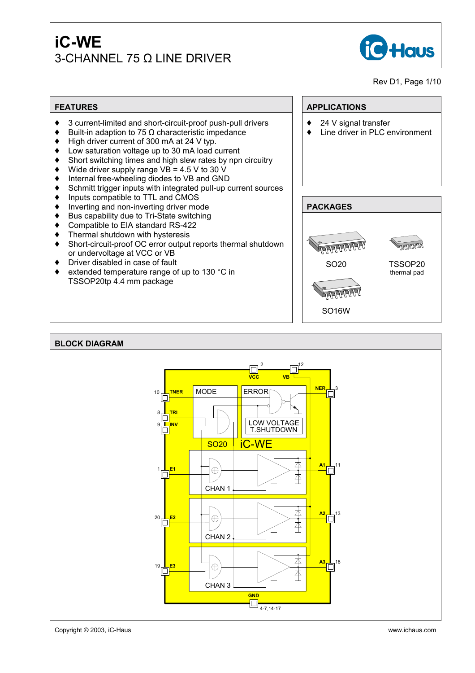

### Rev D1, Page 1/10

- $\bullet$  3 current-limited and short-circuit-proof push-pull drivers
- Built-in adaption to 75  $Ω$  characteristic impedance
- $\blacklozenge$  High driver current of 300 mA at 24 V typ.
- Low saturation voltage up to 30 mA load current
- $\bullet$  Short switching times and high slew rates by npn circuitry
- $\blacklozenge$  Wide driver supply range VB = 4.5 V to 30 V
- $\bullet$  Internal free-wheeling diodes to VB and GND
- $\bullet$  Schmitt trigger inputs with integrated pull-up current sources
- $\bullet$  Inputs compatible to TTL and CMOS
- $\bullet$  Inverting and non-inverting driver mode
- $\bullet$  Bus capability due to Tri-State switching
- $\bullet$  Compatible to EIA standard RS-422
- $\bullet$  Thermal shutdown with hysteresis
- ♦ Short-circuit-proof OC error output reports thermal shutdown or undervoltage at VCC or VB
- Driver disabled in case of fault
- $\bullet$  extended temperature range of up to 130 °C in TSSOP20tp 4.4 mm package

# **FEATURES APPLICATIONS**

- $\triangleleft$  24 V signal transfer
- $\bullet$  Line driver in PLC environment



#### **BLOCK DIAGRAM** 2 12 I⊡¦ **VB VCC NER** MODE 10 <mark>L tner</mark><br>□ ERROR 8 **TRI** LOW VOLTAGE  $\overline{\Box}^{inv}$ T.SHUTDOWN SO20 iC-WE 本 **A1** 11  $\oplus$ 16 本 CHAN 1 **A2** 13 本  $\oplus$ 20 **E2**<br>□□ 本 CHAN 2 △ **A3** 18  $\oplus$ 19 <mark>⊥ E3</mark><br>□ 本 CHAN 3 **GND** 4-7,14-17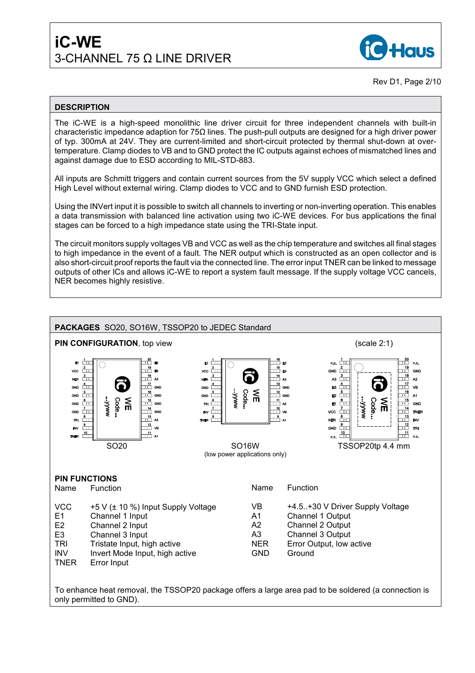

Rev D1, Page 2/10

## **DESCRIPTION**

The iC-WE is a high-speed monolithic line driver circuit for three independent channels with built-in characteristic impedance adaption for 75Ω lines. The push-pull outputs are designed for a high driver power of typ. 300mA at 24V. They are current-limited and short-circuit protected by thermal shut-down at overtemperature. Clamp diodes to VB and to GND protect the IC outputs against echoes of mismatched lines and against damage due to ESD according to MIL-STD-883.

All inputs are Schmitt triggers and contain current sources from the 5V supply VCC which select a defined High Level without external wiring. Clamp diodes to VCC and to GND furnish ESD protection.

Using the INVert input it is possible to switch all channels to inverting or non-inverting operation. This enables a data transmission with balanced line activation using two iC-WE devices. For bus applications the final stages can be forced to a high impedance state using the TRI-State input.

The circuit monitors supply voltages VB and VCC as well as the chip temperature and switches all final stages to high impedance in the event of a fault. The NER output which is constructed as an open collector and is also short-circuit proof reports the fault via the connected line. The error input TNER can be linked to message outputs of other ICs and allows iC-WE to report a system fault message. If the supply voltage VCC cancels, NER becomes highly resistive.



To enhance heat removal, the TSSOP20 package offers a large area pad to be soldered (a connection is only permitted to GND).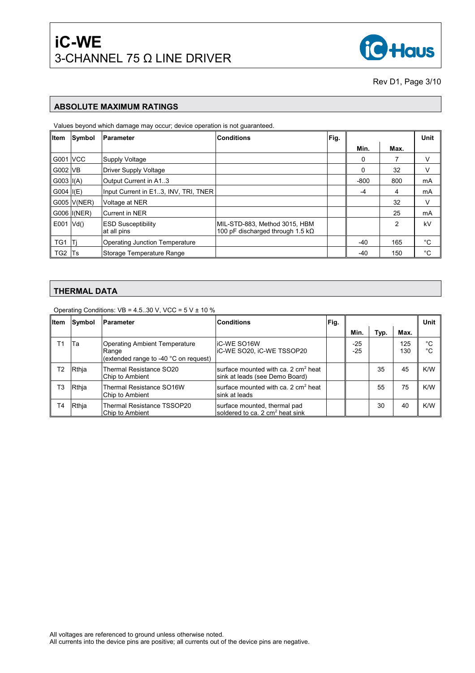

Rev D1, Page 3/10

#### **ABSOLUTE MAXIMUM RATINGS**

Values beyond which damage may occur; device operation is not guaranteed.

| <b>Item</b>     | Symbol      | <b>IParameter</b>                        | <b>Conditions</b>                                                         | Fig. |        |      | Unit |
|-----------------|-------------|------------------------------------------|---------------------------------------------------------------------------|------|--------|------|------|
|                 |             |                                          |                                                                           |      | Min.   | Max. |      |
| <b>G001 VCC</b> |             | <b>Supply Voltage</b>                    |                                                                           |      | 0      |      | V    |
| G002 VB         |             | <b>Driver Supply Voltage</b>             |                                                                           |      | 0      | 32   | V    |
| $G003$ $I(A)$   |             | Output Current in A1.3                   |                                                                           |      | $-800$ | 800  | mA   |
| G004 $ I(E) $   |             | Input Current in E13, INV, TRI, TNER     |                                                                           |      | -4     | 4    | mA   |
|                 | G005 V(NER) | Voltage at NER                           |                                                                           |      |        | 32   | V    |
|                 | G006 I(NER) | <b>ICurrent in NER</b>                   |                                                                           |      |        | 25   | mA   |
| $E001$ $Vd()$   |             | <b>ESD Susceptibility</b><br>at all pins | MIL-STD-883, Method 3015, HBM<br>100 pF discharged through 1.5 k $\Omega$ |      |        | 2    | kV   |
| TG1             | -ITi        | Operating Junction Temperature           |                                                                           |      | -40    | 165  | °C   |
| TG2 Ts          |             | Storage Temperature Range                |                                                                           |      | -40    | 150  | °C   |

# **THERMAL DATA**

Operating Conditions:  $VB = 4.5.30$  V, VCC =  $5$  V  $\pm$  10 %

| <b>Item</b> | Symbol | Parameter                                                                              | <b>Conditions</b>                                                                 | Fig. |                |      | Unit       |          |
|-------------|--------|----------------------------------------------------------------------------------------|-----------------------------------------------------------------------------------|------|----------------|------|------------|----------|
|             |        |                                                                                        |                                                                                   |      | Min.           | Typ. | Max.       |          |
| Г1          | ITa    | <b>Operating Ambient Temperature</b><br>Range<br>(extended range to -40 °C on request) | <b>IC-WE SO16W</b><br>IC-WE SO20, IC-WE TSSOP20                                   |      | $-25$<br>$-25$ |      | 125<br>130 | °C<br>°C |
| T2          | Rthia  | Thermal Resistance SO20<br>Chip to Ambient                                             | surface mounted with ca. 2 cm <sup>2</sup> heat<br>sink at leads (see Demo Board) |      |                | 35   | 45         | K/W      |
| T3          | Rthja  | Thermal Resistance SO16W<br>Chip to Ambient                                            | surface mounted with ca. 2 cm <sup>2</sup> heat<br>sink at leads                  |      |                | 55   | 75         | K/W      |
| T4          | Rthja  | Thermal Resistance TSSOP20<br>Chip to Ambient                                          | surface mounted, thermal pad<br>soldered to ca. 2 cm <sup>2</sup> heat sink       |      |                | 30   | 40         | K/W      |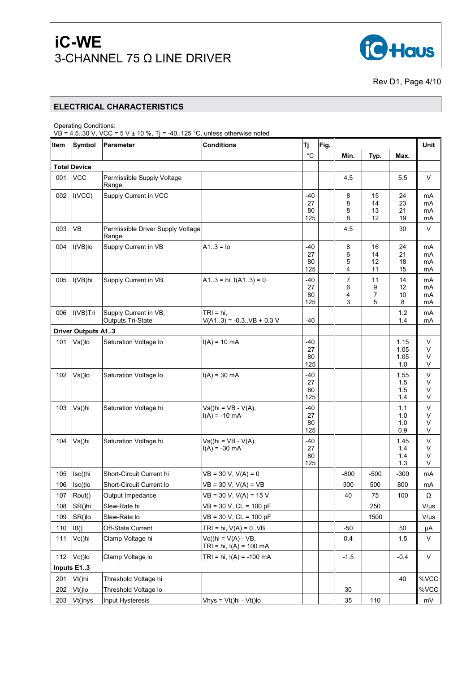

Rev D1, Page 4/10

#### **ELECTRICAL CHARACTERISTICS**

Operating Conditions:

VB = 4.5..30 V, VCC = 5 V  $\pm$  10 %, Tj = -40..125 °C, unless otherwise noted

| Item | Symbol                    | Parameter                                         | <b>Conditions</b>                                  | Tj.                      | Fig. |                               |                      |                             | Unit                 |
|------|---------------------------|---------------------------------------------------|----------------------------------------------------|--------------------------|------|-------------------------------|----------------------|-----------------------------|----------------------|
|      |                           |                                                   |                                                    | $^{\circ}C$              |      | Min.                          | Typ.                 | Max.                        |                      |
|      | <b>Total Device</b>       |                                                   |                                                    |                          |      |                               |                      |                             |                      |
| 001  | <b>VCC</b>                | Permissible Supply Voltage<br>Range               |                                                    |                          |      | 4.5                           |                      | 5.5                         | V                    |
| 002  | I(VCC)                    | Supply Current in VCC                             |                                                    | -40<br>27<br>80<br>125   |      | 8<br>8<br>8<br>8              | 15<br>14<br>13<br>12 | 24<br>23<br>21<br>19        | mA<br>mA<br>mA<br>mA |
| 003  | <b>VB</b>                 | Permissible Driver Supply Voltage<br>Range        |                                                    |                          |      | 4.5                           |                      | 30                          | $\vee$               |
| 004  | I(VB)lo                   | Supply Current in VB                              | $A1.3 = 10$                                        | $-40$<br>27<br>80<br>125 |      | 8<br>6<br>5<br>4              | 16<br>14<br>12<br>11 | 24<br>21<br>18<br>15        | mA<br>mA<br>mA<br>mA |
| 005  | I(VB)hi                   | Supply Current in VB                              | $A13 = h_i$ , $I(A13) = 0$                         | -40<br>27<br>80<br>125   |      | $\overline{7}$<br>6<br>4<br>3 | 11<br>9<br>7<br>5    | 14<br>12<br>10<br>8         | mA<br>mA<br>mA<br>mA |
| 006  | I(VB)Tri                  | Supply Current in VB,<br><b>Outputs Tri-State</b> | $TRI = hi,$<br>$V(A13) = -0.3VB + 0.3 V$           | $-40$                    |      |                               |                      | 1.2<br>1.4                  | mA<br>mA             |
|      | <b>Driver Outputs A13</b> |                                                   |                                                    |                          |      |                               |                      |                             |                      |
| 101  | Vs()lo                    | Saturation Voltage lo                             | $I(A) = 10$ mA                                     | -40<br>27<br>80<br>125   |      |                               |                      | 1.15<br>1.05<br>1.05<br>1.0 | V<br>٧<br>٧<br>V     |
| 102  | Vs()lo                    | Saturation Voltage lo                             | $I(A) = 30$ mA                                     | -40<br>27<br>80<br>125   |      |                               |                      | 1.55<br>1.5<br>1.5<br>1.4   | V<br>٧<br>V<br>V     |
| 103  | Vs()hi                    | Saturation Voltage hi                             | $Vs(hi = VB - V(A)),$<br>$I(A) = -10$ mA           | $-40$<br>27<br>80<br>125 |      |                               |                      | 1.1<br>1.0<br>1.0<br>0.9    | V<br>٧<br>V<br>V     |
| 104  | Vs()hi                    | Saturation Voltage hi                             | $Vs(hi = VB - V(A)),$<br>$I(A) = -30$ mA           | $-40$<br>27<br>80<br>125 |      |                               |                      | 1.45<br>1.4<br>1.4<br>1.3   | V<br>V<br>٧<br>V     |
| 105  | Isc()hi                   | Short-Circuit Current hi                          | $VB = 30 V, V(A) = 0$                              |                          |      | $-800$                        | $-500$               | $-300$                      | mA                   |
| 106  | Isc()lo                   | Short-Circuit Current lo                          | $VB = 30 V, V(A) = VB$                             |                          |      | 300                           | 500                  | 800                         | mA                   |
| 107  | Rout()                    | Output Impedance                                  | $VB = 30 V, V(A) = 15 V$                           |                          |      | 40                            | 75                   | 100                         | Ω                    |
| 108  | SR()hi                    | Slew-Rate hi                                      | $VB = 30 V$ , $CL = 100 pF$                        |                          |      |                               | 250                  |                             | $V/\mu s$            |
| 109  | SR()lo                    | Slew-Rate lo                                      | $VB = 30 V$ , $CL = 100 pF$                        |                          |      |                               | 1500                 |                             | $V/\mu s$            |
| 110  | 10()                      | Off-State Current                                 | $TRI = hi, V(A) = 0.VB$                            |                          |      | $-50$                         |                      | 50                          | $\mu A$              |
| 111  | Vc()hi                    | Clamp Voltage hi                                  | $Vc()hi = V(A) - VB,$<br>TRI = hi, $I(A) = 100$ mA |                          |      | 0.4                           |                      | 1.5                         | V                    |
| 112  | Vc()lo                    | Clamp Voltage lo                                  | TRI = hi, $I(A) = -100$ mA                         |                          |      | $-1.5$                        |                      | $-0.4$                      | V                    |
|      | Inputs E13                |                                                   |                                                    |                          |      |                               |                      |                             |                      |
| 201  | Vt()hi                    | Threshold Voltage hi                              |                                                    |                          |      |                               |                      | 40                          | %VCC                 |
| 202  | $Vt()$ lo                 | Threshold Voltage lo                              |                                                    |                          |      | 30                            |                      |                             | %VCC                 |
| 203  | Vt()hys                   | Input Hysteresis                                  | Vhys = $Vt()hi - Vt()lo$                           |                          |      | 35                            | 110                  |                             | mV                   |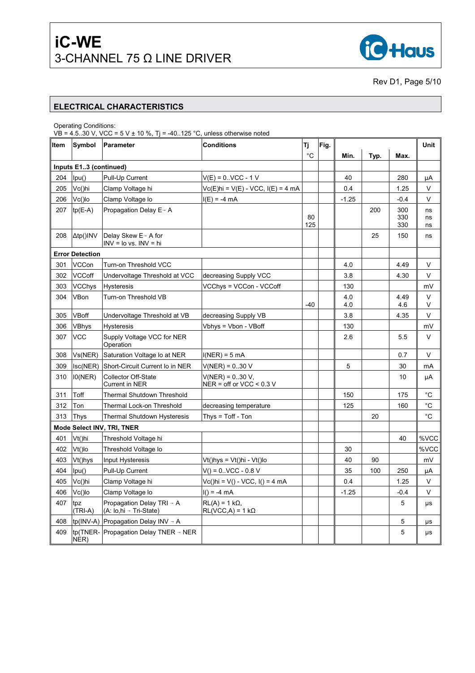

Rev D1, Page 5/10

#### **ELECTRICAL CHARACTERISTICS**

Operating Conditions:

VB = 4.5..30 V, VCC = 5 V  $\pm$  10 %, Tj = -40..125 °C, unless otherwise noted

| Item | Symbol                 | <b>Parameter</b>                                                | Conditions                                        | Tj        | Fig. |            |      |                   | Unit           |
|------|------------------------|-----------------------------------------------------------------|---------------------------------------------------|-----------|------|------------|------|-------------------|----------------|
|      |                        |                                                                 |                                                   | °C        |      | Min.       | Typ. | Max.              |                |
|      | Inputs E13 (continued) |                                                                 |                                                   |           |      |            |      |                   |                |
| 204  | lpu()                  | Pull-Up Current                                                 | $V(E) = 0.$ VCC - 1 V                             |           |      | 40         |      | 280               | μA             |
| 205  | Vc()hi                 | Clamp Voltage hi                                                | Vc(E)hi = V(E) - VCC, I(E) = 4 mA                 |           |      | 0.4        |      | 1.25              | $\vee$         |
| 206  | $Vc()$ lo              | Clamp Voltage lo                                                | $I(E) = -4 mA$                                    |           |      | $-1.25$    |      | $-0.4$            | $\vee$         |
| 207  | $tp(E-A)$              | Propagation Delay E→ A                                          |                                                   | 80<br>125 |      |            | 200  | 300<br>330<br>330 | ns<br>ns<br>ns |
| 208  | $\Delta$ tp()INV       | Delay Skew E→ A for<br>$INV = Io vs. INV = hi$                  |                                                   |           |      |            | 25   | 150               | ns             |
|      | <b>Error Detection</b> |                                                                 |                                                   |           |      |            |      |                   |                |
| 301  | <b>VCCon</b>           | Turn-on Threshold VCC                                           |                                                   |           |      | 4.0        |      | 4.49              | V              |
| 302  | <b>VCCoff</b>          | Undervoltage Threshold at VCC                                   | decreasing Supply VCC                             |           |      | 3.8        |      | 4.30              | V              |
| 303  | <b>VCChys</b>          | <b>Hysteresis</b>                                               | VCChys = VCCon - VCCoff                           |           |      | 130        |      |                   | mV             |
| 304  | VBon                   | Turn-on Threshold VB                                            |                                                   | $-40$     |      | 4.0<br>4.0 |      | 4.49<br>4.6       | $\vee$<br>V    |
| 305  | VBoff                  | Undervoltage Threshold at VB                                    | decreasing Supply VB                              |           |      | 3.8        |      | 4.35              | $\vee$         |
| 306  | <b>VBhys</b>           | <b>Hysteresis</b>                                               | Vbhys = Vbon - VBoff                              |           |      | 130        |      |                   | mV             |
| 307  | <b>VCC</b>             | Supply Voltage VCC for NER<br>Operation                         |                                                   |           |      | 2.6        |      | 5.5               | V              |
| 308  | Vs(NER)                | Saturation Voltage Io at NER                                    | $I(NER) = 5 mA$                                   |           |      |            |      | 0.7               | V              |
| 309  | lsc(NER)               | Short-Circuit Current Io in NER                                 | V(NER) = 030 V                                    |           |      | 5          |      | 30                | mA             |
| 310  | 10(NER)                | <b>Collector Off-State</b><br>Current in NER                    | $V(NER) = 0.30 V$ ,<br>NER = off or VCC < $0.3$ V |           |      |            |      | 10                | μA             |
| 311  | Toff                   | Thermal Shutdown Threshold                                      |                                                   |           |      | 150        |      | 175               | °C             |
| 312  | Ton                    | Thermal Lock-on Threshold                                       | decreasing temperature                            |           |      | 125        |      | 160               | °C             |
| 313  | Thys                   | <b>Thermal Shutdown Hysteresis</b>                              | Thys = $T$ off - $T$ on                           |           |      |            | 20   |                   | $^{\circ}C$    |
|      |                        | Mode Select INV, TRI, TNER                                      |                                                   |           |      |            |      |                   |                |
| 401  | Vt()hi                 | Threshold Voltage hi                                            |                                                   |           |      |            |      | 40                | %VCC           |
| 402  | $Vt()$ lo              | Threshold Voltage lo                                            |                                                   |           |      | 30         |      |                   | %VCC           |
| 403  | Vt()hys                | Input Hysteresis                                                | Vt()hys = Vt()hi - Vt()lo                         |           |      | 40         | 90   |                   | mV             |
| 404  | lpu()                  | Pull-Up Current                                                 | $V() = 0.$ VCC - 0.8 V                            |           |      | 35         | 100  | 250               | μA             |
| 405  | Vc()hi                 | Clamp Voltage hi                                                | $Vc()$ hi = V() - VCC, I() = 4 mA                 |           |      | 0.4        |      | 1.25              | V              |
| 406  | Vc()lo                 | Clamp Voltage lo                                                | $I() = -4 mA$                                     |           |      | $-1.25$    |      | -0.4              | V              |
| 407  | tpz<br>(TRI-A)         | Propagation Delay TRI $\rightarrow$ A<br>(A: lo,hi → Tri-State) | $RL(A) = 1 k\Omega$<br>$RL(VCC, A) = 1 k\Omega$   |           |      |            |      | 5                 | μs             |
| 408  |                        | tp(INV-A) Propagation Delay INV $\rightarrow$ A                 |                                                   |           |      |            |      | 5                 | μs             |
| 409  | NER)                   | tp(TNER- Propagation Delay TNER $\rightarrow$ NER               |                                                   |           |      |            |      | 5                 | μs             |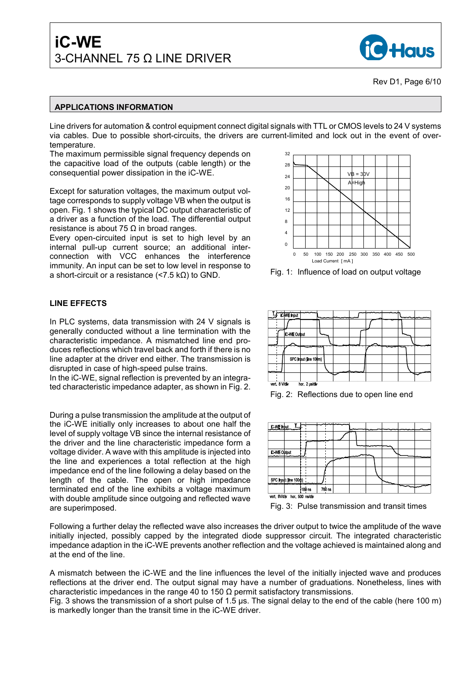

### **APPLICATIONS INFORMATION**

Line drivers for automation & control equipment connect digital signals with TTL or CMOS levels to 24 V systems via cables. Due to possible short-circuits, the drivers are current-limited and lock out in the event of overtemperature.

The maximum permissible signal frequency depends on the capacitive load of the outputs (cable length) or the consequential power dissipation in the iC-WE.

Except for saturation voltages, the maximum output voltage corresponds to supply voltage VB when the output is open. Fig. 1 shows the typical DC output characteristic of a driver as a function of the load. The differential output resistance is about 75  $Ω$  in broad ranges.

Every open-circuited input is set to high level by an internal pull-up current source; an additional interconnection with VCC enhances the interference immunity. An input can be set to low level in response to a short-circuit or a resistance (<7.5 kΩ) to GND.

### **LINE EFFECTS**

In PLC systems, data transmission with 24 V signals is generally conducted without a line termination with the characteristic impedance. A mismatched line end produces reflections which travel back and forth if there is no line adapter at the driver end either. The transmission is disrupted in case of high-speed pulse trains.

In the iC-WE, signal reflection is prevented by an integrated characteristic impedance adapter, as shown in Fig. 2.

During a pulse transmission the amplitude at the output of the iC-WE initially only increases to about one half the level of supply voltage VB since the internal resistance of the driver and the line characteristic impedance form a voltage divider. A wave with this amplitude is injected into the line and experiences a total reflection at the high impedance end of the line following a delay based on the length of the cable. The open or high impedance terminated end of the line exhibits a voltage maximum with double amplitude since outgoing and reflected wave are superimposed.



Fig. 1: Influence of load on output voltage



Fig. 2: Reflections due to open line end



Fig. 3: Pulse transmission and transit times

Following a further delay the reflected wave also increases the driver output to twice the amplitude of the wave initially injected, possibly capped by the integrated diode suppressor circuit. The integrated characteristic impedance adaption in the iC-WE prevents another reflection and the voltage achieved is maintained along and at the end of the line.

A mismatch between the iC-WE and the line influences the level of the initially injected wave and produces reflections at the driver end. The output signal may have a number of graduations. Nonetheless, lines with characteristic impedances in the range 40 to 150  $\Omega$  permit satisfactory transmissions.

Fig. 3 shows the transmission of a short pulse of 1.5 µs. The signal delay to the end of the cable (here 100 m) is markedly longer than the transit time in the iC-WE driver.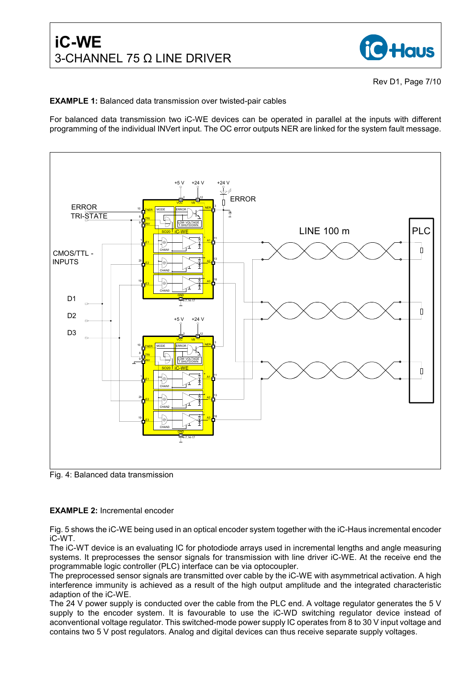

Rev D1, Page 7/10

### **EXAMPLE 1:** Balanced data transmission over twisted-pair cables

For balanced data transmission two iC-WE devices can be operated in parallel at the inputs with different programming of the individual INVert input. The OC error outputs NER are linked for the system fault message.



Fig. 4: Balanced data transmission

#### **EXAMPLE 2:** Incremental encoder

Fig. 5 shows the iC-WE being used in an optical encoder system together with the iC-Haus incremental encoder iC-WT.

The iC-WT device is an evaluating IC for photodiode arrays used in incremental lengths and angle measuring systems. It preprocesses the sensor signals for transmission with line driver iC-WE. At the receive end the programmable logic controller (PLC) interface can be via optocoupler.

The preprocessed sensor signals are transmitted over cable by the iC-WE with asymmetrical activation. A high interference immunity is achieved as a result of the high output amplitude and the integrated characteristic adaption of the iC-WE.

The 24 V power supply is conducted over the cable from the PLC end. A voltage regulator generates the 5 V supply to the encoder system. It is favourable to use the iC-WD switching regulator device instead of aconventional voltage regulator. This switched-mode power supply IC operates from 8 to 30 V input voltage and contains two 5 V post regulators. Analog and digital devices can thus receive separate supply voltages.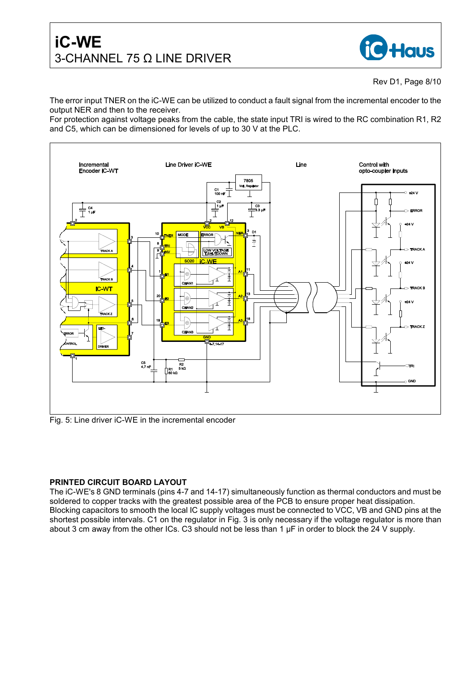

The error input TNER on the iC-WE can be utilized to conduct a fault signal from the incremental encoder to the output NER and then to the receiver.

For protection against voltage peaks from the cable, the state input TRI is wired to the RC combination R1, R2 and C5, which can be dimensioned for levels of up to 30 V at the PLC.



Fig. 5: Line driver iC-WE in the incremental encoder

### **PRINTED CIRCUIT BOARD LAYOUT**

The iC-WE's 8 GND terminals (pins 4-7 and 14-17) simultaneously function as thermal conductors and must be soldered to copper tracks with the greatest possible area of the PCB to ensure proper heat dissipation. Blocking capacitors to smooth the local IC supply voltages must be connected to VCC, VB and GND pins at the shortest possible intervals. C1 on the regulator in Fig. 3 is only necessary if the voltage regulator is more than about 3 cm away from the other ICs. C3 should not be less than 1 µF in order to block the 24 V supply.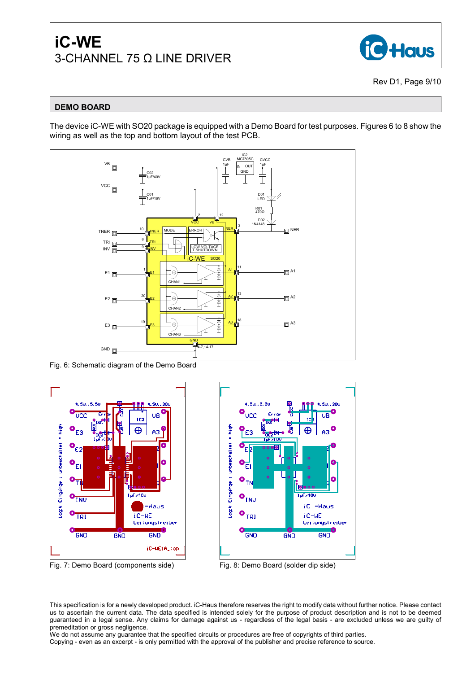

Rev D1, Page 9/10

# **DEMO BOARD**

The device iC-WE with SO20 package is equipped with a Demo Board for test purposes. Figures 6 to 8 show the wiring as well as the top and bottom layout of the test PCB.



Fig. 6: Schematic diagram of the Demo Board





Fig. 7: Demo Board (components side) Fig. 8: Demo Board (solder dip side)



This specification is for a newly developed product. iC-Haus therefore reserves the right to modify data without further notice. Please contact us to ascertain the current data. The data specified is intended solely for the purpose of product description and is not to be deemed guaranteed in a legal sense. Any claims for damage against us - regardless of the legal basis - are excluded unless we are guilty of premeditation or gross negligence.

We do not assume any guarantee that the specified circuits or procedures are free of copyrights of third parties. Copying - even as an excerpt - is only permitted with the approval of the publisher and precise reference to source.